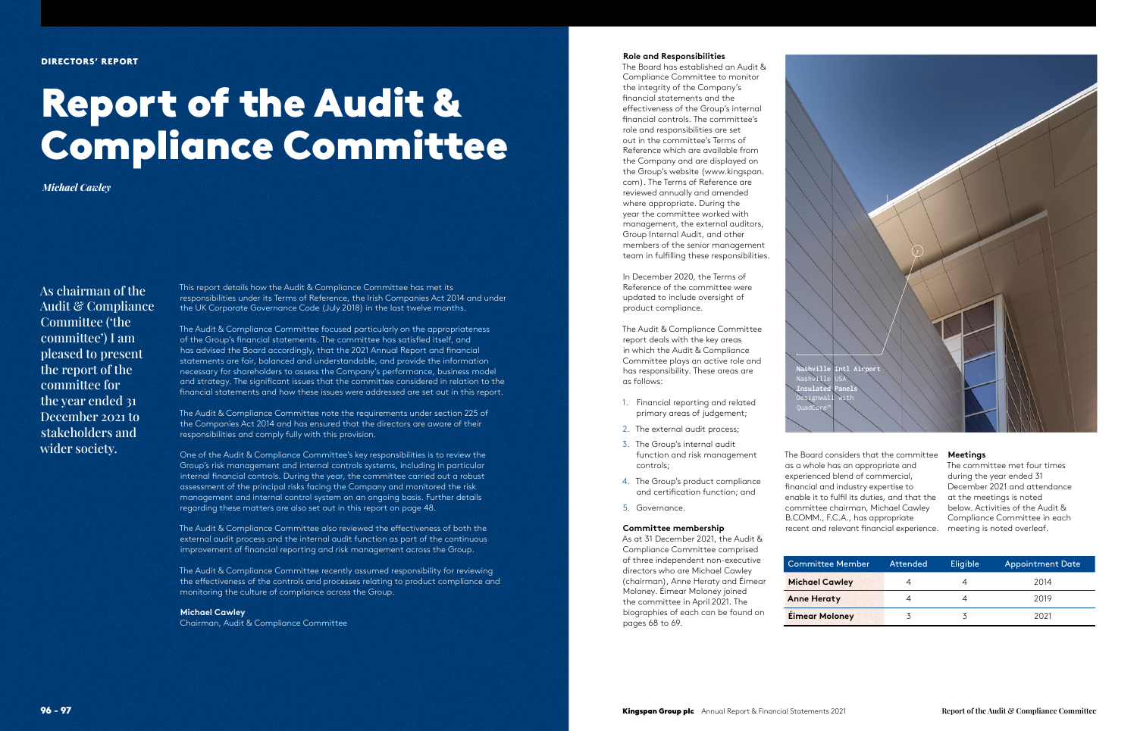#### DIRECTORS' REPORT

# Report of the Audit & Compliance Committee

*Michael Cawley*

As chairman of the Audit & Compliance Committee ('the committee') I am pleased to present the report of the committee for the year ended 31 December 2021 to stakeholders and wider society.

This report details how the Audit & Compliance Committee has met its responsibilities under its Terms of Reference, the Irish Companies Act 2014 and under the UK Corporate Governance Code (July 2018) in the last twelve months.

The Audit & Compliance Committee focused particularly on the appropriateness of the Group's fnancial statements. The committee has satisfed itself, and has advised the Board accordingly, that the 2021 Annual Report and fnancial statements are fair, balanced and understandable, and provide the information necessary for shareholders to assess the Company's performance, business model and strategy. The signifcant issues that the committee considered in relation to the fnancial statements and how these issues were addressed are set out in this report.

The Audit & Compliance Committee note the requirements under section 225 of the Companies Act 2014 and has ensured that the directors are aware of their responsibilities and comply fully with this provision.

One of the Audit & Compliance Committee's key responsibilities is to review the Group's risk management and internal controls systems, including in particular internal fnancial controls. During the year, the committee carried out a robust assessment of the principal risks facing the Company and monitored the risk management and internal control system on an ongoing basis. Further details regarding these matters are also set out in this report on page 48.

The Audit & Compliance Committee also reviewed the efectiveness of both the external audit process and the internal audit function as part of the continuous improvement of fnancial reporting and risk management across the Group.

The Audit & Compliance Committee recently assumed responsibility for reviewing the efectiveness of the controls and processes relating to product compliance and monitoring the culture of compliance across the Group.

#### **Michael Cawley**

Chairman, Audit & Compliance Committee

#### **Role and Responsibilities**

The Board has established an Audit & Compliance Committee to monitor the integrity of the Company's fnancial statements and the efectiveness of the Group's internal fnancial controls. The committee's role and responsibilities are set out in the committee's Terms of Reference which are available from the Company and are displayed on the Group's website [\(www.kingspan.](http://www.kingspan) com). The Terms of Reference are reviewed annually and amended where appropriate. During the year the committee worked with management, the external auditors, Group Internal Audit, and other members of the senior management team in fulflling these responsibilities.

In December 2020, the Terms of Reference of the committee were updated to include oversight of product compliance.

The Audit & Compliance Committee report deals with the key areas in which the Audit & Compliance Committee plays an active role and has responsibility. These areas are as follows:

- 1. Financial reporting and related primary areas of judgement;
- 2. The external audit process;
- 3. The Group's internal audit function and risk management controls;
- 4. The Group's product compliance and certifcation function; and
- 5. Governance.

#### **Committee membership**

As at 31 December 2021, the Audit & Compliance Committee comprised of three independent non-executive directors who are Michael Cawley (chairman), Anne Heraty and Éimear Moloney. Éimear Moloney joined the committee in April 2021. The biographies of each can be found on pages 68 to 69.

The Board considers that the committee as a whole has an appropriate and experienced blend of commercial, fnancial and industry expertise to enable it to fulfl its duties, and that the committee chairman, Michael Cawley B.COMM., F.C.A., has appropriate recent and relevant fnancial experience. meeting is noted overleaf.

## Committee Memb **Michael Cawley**

**Anne Heraty Éimear Moloney** 

## **Meetings**

The committee met four times during the year ended 31 December 2021 and attendance at the meetings is noted below. Activities of the Audit & Compliance Committee in each

| er | Attended | Eligible' | <b>Appointment Date</b> |  |  |
|----|----------|-----------|-------------------------|--|--|
|    |          |           | 2014                    |  |  |
|    |          |           | 2019                    |  |  |
|    |          |           | 2021                    |  |  |



**Nashville Intl Airport** Nashville **Insulated Panels** Designwall with QuadCore™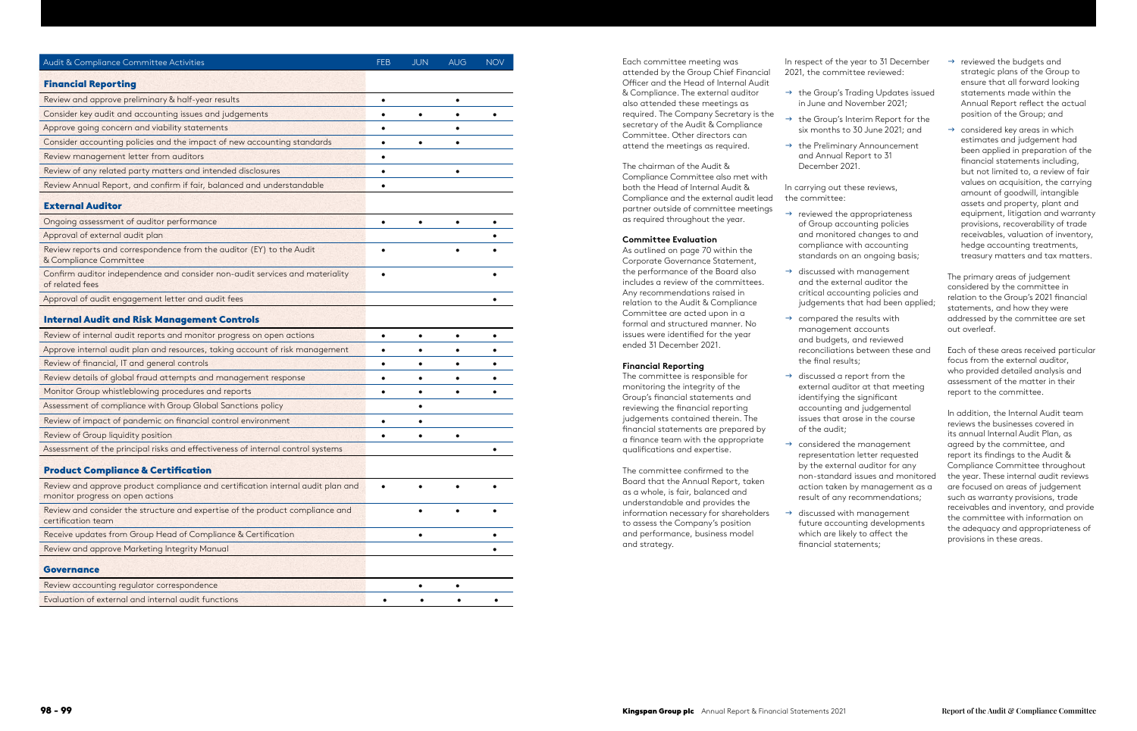| Audit & Compliance Committee Activities                                                                             | FEB       | <b>JUN</b> | <b>AUG</b> | <b>NOV</b> |
|---------------------------------------------------------------------------------------------------------------------|-----------|------------|------------|------------|
| <b>Financial Reporting</b>                                                                                          |           |            |            |            |
| Review and approve preliminary & half-year results                                                                  | $\bullet$ |            | $\bullet$  |            |
| Consider key audit and accounting issues and judgements                                                             | $\bullet$ |            | $\bullet$  |            |
| Approve going concern and viability statements                                                                      |           |            |            |            |
| Consider accounting policies and the impact of new accounting standards                                             | $\bullet$ | ٠          |            |            |
| Review management letter from auditors                                                                              |           |            |            |            |
| Review of any related party matters and intended disclosures                                                        | $\bullet$ |            |            |            |
| Review Annual Report, and confirm if fair, balanced and understandable                                              | $\bullet$ |            |            |            |
| <b>External Auditor</b>                                                                                             |           |            |            |            |
| Ongoing assessment of auditor performance                                                                           | $\bullet$ | $\bullet$  | $\bullet$  |            |
| Approval of external audit plan                                                                                     |           |            |            |            |
| Review reports and correspondence from the auditor (EY) to the Audit<br>& Compliance Committee                      |           |            |            |            |
| Confirm auditor independence and consider non-audit services and materiality<br>of related fees                     |           |            |            |            |
| Approval of audit engagement letter and audit fees                                                                  |           |            |            |            |
| <b>Internal Audit and Risk Management Controls</b>                                                                  |           |            |            |            |
| Review of internal audit reports and monitor progress on open actions                                               | ٠         | $\bullet$  | $\bullet$  |            |
| Approve internal audit plan and resources, taking account of risk management                                        |           |            |            |            |
| Review of financial, IT and general controls                                                                        | $\bullet$ | ٠          |            |            |
| Review details of global fraud attempts and management response                                                     | $\bullet$ |            |            |            |
| Monitor Group whistleblowing procedures and reports                                                                 | $\bullet$ | ٠          | $\bullet$  |            |
| Assessment of compliance with Group Global Sanctions policy                                                         |           |            |            |            |
| Review of impact of pandemic on financial control environment                                                       | $\bullet$ |            |            |            |
| Review of Group liquidity position                                                                                  |           |            |            |            |
| Assessment of the principal risks and effectiveness of internal control systems                                     |           |            |            |            |
| <b>Product Compliance &amp; Certification</b>                                                                       |           |            |            |            |
| Review and approve product compliance and certification internal audit plan and<br>monitor progress on open actions |           |            |            |            |
| Review and consider the structure and expertise of the product compliance and<br>certification team                 |           |            |            |            |
| Receive updates from Group Head of Compliance & Certification                                                       |           | ٠          |            |            |
| Review and approve Marketing Integrity Manual                                                                       |           |            |            |            |
| <b>Governance</b>                                                                                                   |           |            |            |            |
| Review accounting regulator correspondence                                                                          |           | ٠          |            |            |
| Evaluation of external and internal audit functions                                                                 |           |            |            |            |

- $\rightarrow$  the Group's Trading Updates issued in June and November 2021;
- $\rightarrow$  the Group's Interim Report for the
- $\rightarrow$  the Preliminary Announcement and Annual Report to 31 December 2021.

Each committee meeting was attended by the Group Chief Financial Officer and the Head of Internal Audit & Compliance. The external auditor also attended these meetings as required. The Company Secretary is the secretary of the Audit & Compliance Committee. Other directors can attend the meetings as required.

The chairman of the Audit & Compliance Committee also met with both the Head of Internal Audit & Compliance and the external audit lead partner outside of committee meetings as required throughout the year.

#### **Committee Evaluation**

- $\rightarrow$  reviewed the budgets and strategic plans of the Group to ensure that all forward looking statements made within the Annual Report refect the actual position of the Group; and
- $\rightarrow$  considered key areas in which estimates and judgement had been applied in preparation of the fnancial statements including, but not limited to, a review of fair values on acquisition, the carrying amount of goodwill, intangible assets and property, plant and equipment, litigation and warranty provisions, recoverability of trade receivables, valuation of inventory, hedge accounting treatments, treasury matters and tax matters.

As outlined on page 70 within the Corporate Governance Statement, the performance of the Board also includes a review of the committees. Any recommendations raised in relation to the Audit & Compliance Committee are acted upon in a formal and structured manner. No issues were identifed for the year ended 31 December 2021.

#### **Financial Reporting**

The committee is responsible for monitoring the integrity of the Group's fnancial statements and reviewing the fnancial reporting judgements contained therein. The fnancial statements are prepared by a fnance team with the appropriate qualifcations and expertise.

The committee confrmed to the Board that the Annual Report, taken as a whole, is fair, balanced and understandable and provides the information necessary for shareholders to assess the Company's position and performance, business model and strategy.

In respect of the year to 31 December 2021, the committee reviewed:

six months to 30 June 2021; and

 $\rightarrow$  reviewed the appropriateness

In carrying out these reviews, the committee:

judgements that had been applied;

external auditor at that meeting

- of Group accounting policies and monitored changes to and compliance with accounting standards on an ongoing basis;
- $\rightarrow$  discussed with management and the external auditor the critical accounting policies and
- $\rightarrow$  compared the results with management accounts and budgets, and reviewed reconciliations between these and the final results:
- $\rightarrow$  discussed a report from the identifying the signifcant accounting and judgemental issues that arose in the course of the audit;
- $\rightarrow$  considered the management representation letter requested by the external auditor for any result of any recommendations;
- $\rightarrow$  discussed with management which are likely to afect the fnancial statements;

non-standard issues and monitored action taken by management as a

future accounting developments

The primary areas of judgement considered by the committee in relation to the Group's 2021 fnancial statements, and how they were addressed by the committee are set out overleaf.

Each of these areas received particular focus from the external auditor, who provided detailed analysis and assessment of the matter in their report to the committee.

In addition, the Internal Audit team reviews the businesses covered in its annual Internal Audit Plan, as agreed by the committee, and report its fndings to the Audit & Compliance Committee throughout the year. These internal audit reviews are focused on areas of judgement such as warranty provisions, trade receivables and inventory, and provide the committee with information on the adequacy and appropriateness of provisions in these areas.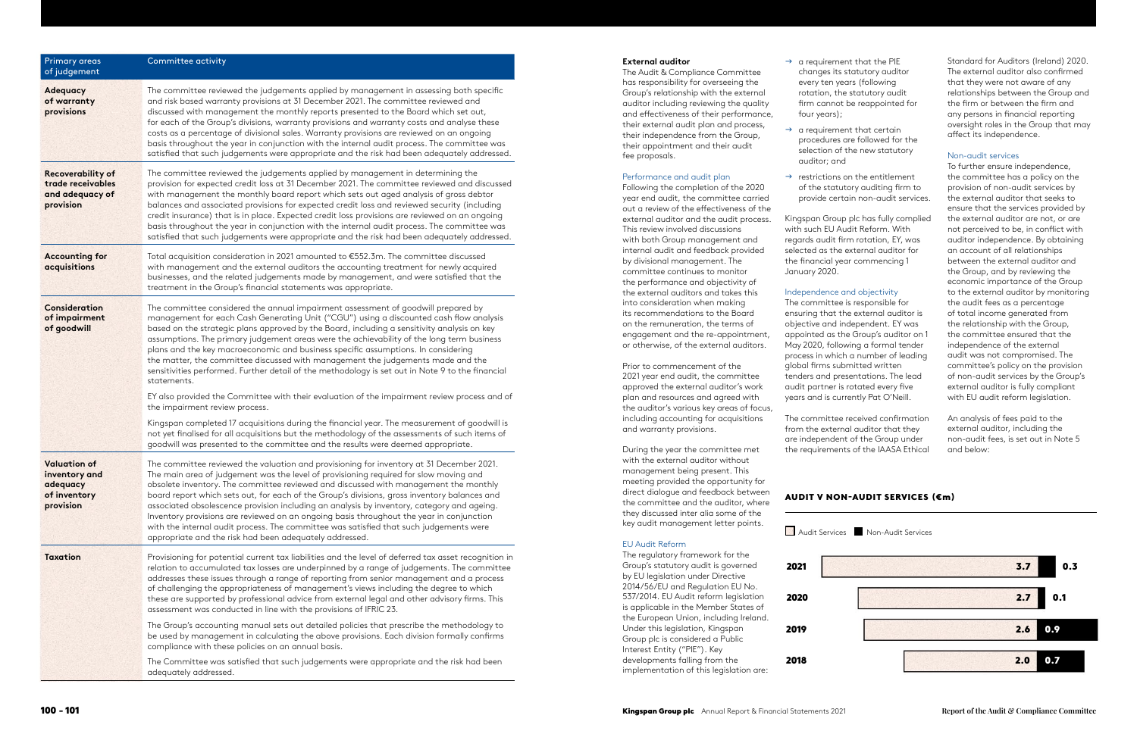| <b>Primary areas</b><br>of judgement                                          | Committee activity                                                                                                                                                                                                                                                                                                                                                                                                                                                                                                                                                                                                                                                                                                       |
|-------------------------------------------------------------------------------|--------------------------------------------------------------------------------------------------------------------------------------------------------------------------------------------------------------------------------------------------------------------------------------------------------------------------------------------------------------------------------------------------------------------------------------------------------------------------------------------------------------------------------------------------------------------------------------------------------------------------------------------------------------------------------------------------------------------------|
| <b>Adequacy</b><br>of warranty<br>provisions                                  | The committee reviewed the judgements applied by management in assessing both specific<br>and risk based warranty provisions at 31 December 2021. The committee reviewed and<br>discussed with management the monthly reports presented to the Board which set out,<br>for each of the Group's divisions, warranty provisions and warranty costs and analyse these<br>costs as a percentage of divisional sales. Warranty provisions are reviewed on an ongoing<br>basis throughout the year in conjunction with the internal audit process. The committee was<br>satisfied that such judgements were appropriate and the risk had been adequately addressed.                                                            |
| <b>Recoverability of</b><br>trade receivables<br>and adequacy of<br>provision | The committee reviewed the judgements applied by management in determining the<br>provision for expected credit loss at 31 December 2021. The committee reviewed and discussed<br>with management the monthly board report which sets out aged analysis of gross debtor<br>balances and associated provisions for expected credit loss and reviewed security (including<br>credit insurance) that is in place. Expected credit loss provisions are reviewed on an ongoing<br>basis throughout the year in conjunction with the internal audit process. The committee was<br>satisfied that such judgements were appropriate and the risk had been adequately addressed.                                                  |
| <b>Accounting for</b><br>acquisitions                                         | Total acquisition consideration in 2021 amounted to €552.3m. The committee discussed<br>with management and the external auditors the accounting treatment for newly acquired<br>businesses, and the related judgements made by management, and were satisfied that the<br>treatment in the Group's financial statements was appropriate.                                                                                                                                                                                                                                                                                                                                                                                |
| <b>Consideration</b><br>of impairment<br>of goodwill                          | The committee considered the annual impairment assessment of goodwill prepared by<br>management for each Cash Generating Unit ("CGU") using a discounted cash flow analysis<br>based on the strategic plans approved by the Board, including a sensitivity analysis on key<br>assumptions. The primary judgement areas were the achievability of the long term business<br>plans and the key macroeconomic and business specific assumptions. In considering<br>the matter, the committee discussed with management the judgements made and the<br>sensitivities performed. Further detail of the methodology is set out in Note 9 to the financial<br>statements.                                                       |
|                                                                               | EY also provided the Committee with their evaluation of the impairment review process and of<br>the impairment review process.                                                                                                                                                                                                                                                                                                                                                                                                                                                                                                                                                                                           |
|                                                                               | Kingspan completed 17 acquisitions during the financial year. The measurement of goodwill is<br>not yet finalised for all acquisitions but the methodology of the assessments of such items of<br>goodwill was presented to the committee and the results were deemed appropriate.                                                                                                                                                                                                                                                                                                                                                                                                                                       |
| <b>Valuation of</b><br>inventory and<br>adequacy<br>of inventory<br>provision | The committee reviewed the valuation and provisioning for inventory at 31 December 2021.<br>The main area of judgement was the level of provisioning required for slow moving and<br>obsolete inventory. The committee reviewed and discussed with management the monthly<br>board report which sets out, for each of the Group's divisions, gross inventory balances and<br>associated obsolescence provision including an analysis by inventory, category and ageing.<br>Inventory provisions are reviewed on an ongoing basis throughout the year in conjunction<br>with the internal audit process. The committee was satisfied that such judgements were<br>appropriate and the risk had been adequately addressed. |
| <b>Taxation</b>                                                               | Provisioning for potential current tax liabilities and the level of deferred tax asset recognition in<br>relation to accumulated tax losses are underpinned by a range of judgements. The committee<br>addresses these issues through a range of reporting from senior management and a process<br>of challenging the appropriateness of management's views including the degree to which<br>these are supported by professional advice from external legal and other advisory firms. This<br>assessment was conducted in line with the provisions of IFRIC 23.                                                                                                                                                          |
|                                                                               | The Group's accounting manual sets out detailed policies that prescribe the methodology to<br>be used by management in calculating the above provisions. Each division formally confirms<br>compliance with these policies on an annual basis.                                                                                                                                                                                                                                                                                                                                                                                                                                                                           |
|                                                                               | The Committee was satisfied that such judgements were appropriate and the risk had been<br>adequately addressed.                                                                                                                                                                                                                                                                                                                                                                                                                                                                                                                                                                                                         |

 $\rightarrow$  restrictions on the entitlement provide certain non-audit services.

The committee received confirmation from the external auditor that they are independent of the Group under the requirements of the IAASA Ethical Standard for Auditors (Ireland) 2020. The external auditor also confirmed that they were not aware of any relationships between the Group and the firm or between the firm and any persons in financial reporting oversight roles in the Group that may affect its independence.

#### **External auditor**

The Audit & Compliance Committee has responsibility for overseeing the Group's relationship with the external auditor including reviewing the quality and effectiveness of their performance, their external audit plan and process, their independence from the Group, their appointment and their audit fee proposals.

#### Performance and audit plan

Following the completion of the 2020 year end audit, the committee carried out a review of the effectiveness of the external auditor and the audit process. This review involved discussions with both Group management and internal audit and feedback provided by divisional management. The committee continues to monitor the performance and objectivity of the external auditors and takes this into consideration when making its recommendations to the Board on the remuneration, the terms of engagement and the re-appointment, or otherwise, of the external auditors.

Prior to commencement of the 2021 year end audit, the committee approved the external auditor's work plan and resources and agreed with the auditor's various key areas of focus, including accounting for acquisitions and warranty provisions.

During the year the committee met with the external auditor without management being present. This meeting provided the opportunity for direct dialogue and feedback between the committee and the auditor, where they discussed inter alia some of the key audit management letter points.

#### EU Audit Reform

The regulatory framework for the Group's statutory audit is governed by EU legislation under Directive 2014/56/EU and Regulation EU No. 537/2014. EU Audit reform legislation is applicable in the Member States of the European Union, including Ireland. Under this legislation, Kingspan Group plc is considered a Public Interest Entity ("PIE"). Key developments falling from the implementation of this legislation are:

- $\rightarrow$  a requirement that the PIE changes its statutory auditor every ten years (following rotation, the statutory audit firm cannot be reappointed for four years);
- $\rightarrow$  a requirement that certain procedures are followed for the selection of the new statutory auditor; and
- of the statutory auditing firm to

Kingspan Group plc has fully complied with such EU Audit Reform. With regards audit firm rotation, EY, was selected as the external auditor for the financial year commencing 1 January 2020.

#### Independence and objectivity

The committee is responsible for ensuring that the external auditor is objective and independent. EY was appointed as the Group's auditor on 1 May 2020, following a formal tender process in which a number of leading global firms submitted written tenders and presentations. The lead audit partner is rotated every five years and is currently Pat O'Neill.

#### Non-audit services

To further ensure independence, the committee has a policy on the provision of non-audit services by the external auditor that seeks to ensure that the services provided by the external auditor are not, or are not perceived to be, in conflict with auditor independence. By obtaining an account of all relationships between the external auditor and the Group, and by reviewing the economic importance of the Group to the external auditor by monitoring the audit fees as a percentage of total income generated from the relationship with the Group, the committee ensured that the independence of the external audit was not compromised. The committee's policy on the provision of non-audit services by the Group's external auditor is fully compliant with EU audit reform legislation.

An analysis of fees paid to the external auditor, including the non-audit fees, is set out in Note 5 and below: